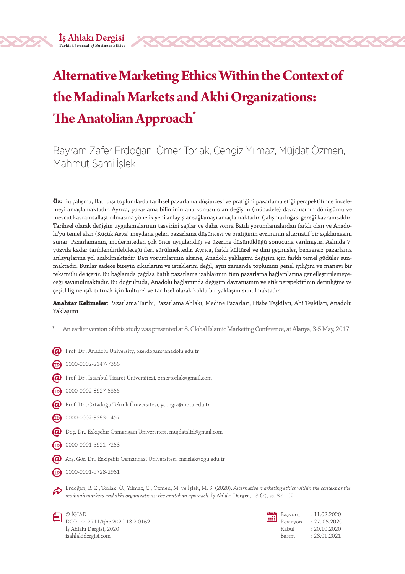# **Alternative Marketing Ethics Within the Context of the Madinah Markets and Akhi Organizations: The Anatolian Approach\***

Bayram Zafer Erdoğan, Ömer Torlak, Cengiz Yılmaz, Müjdat Özmen, Mahmut Sami İşlek

**Öz:** Bu çalışma, Batı dışı toplumlarda tarihsel pazarlama düşüncesi ve pratiğini pazarlama etiği perspektifinde incelemeyi amaçlamaktadır. Ayrıca, pazarlama biliminin ana konusu olan değişim (mübadele) davranışının dönüşümü ve mevcut kavramsallaştırılmasına yönelik yeni anlayışlar sağlamayı amaçlamaktadır. Çalışma doğası gereği kavramsaldır. Tarihsel olarak değişim uygulamalarının tasvirini sağlar ve daha sonra Batılı yorumlamalardan farklı olan ve Anadolu'yu temel alan (Küçük Asya) meydana gelen pazarlama düşüncesi ve pratiğinin evriminin alternatif bir açıklamasını sunar. Pazarlamanın, moderniteden çok önce uygulandığı ve üzerine düşünüldüğü sonucuna varılmıştır. Aslında 7. yüzyıla kadar tarihlendirilebileceği ileri sürülmektedir. Ayrıca, farklı kültürel ve dini geçmişler, benzersiz pazarlama anlayışlarına yol açabilmektedir. Batı yorumlarının aksine, Anadolu yaklaşımı değişim için farklı temel güdüler sunmaktadır. Bunlar sadece bireyin çıkarlarını ve isteklerini değil, aynı zamanda toplumun genel iyiliğini ve manevi bir tekâmülü de içerir. Bu bağlamda çağdaş Batılı pazarlama izahlarının tüm pazarlama bağlamlarına genelleştirilemeyeceği savunulmaktadır. Bu doğrultuda, Anadolu bağlamında değişim davranışının ve etik perspektifinin derinliğine ve çeşitliliğine ışık tutmak için kültürel ve tarihsel olarak köklü bir yaklaşım sunulmaktadır.

**Anahtar Kelimeler**: Pazarlama Tarihi, Pazarlama Ahlakı, Medine Pazarları, Hisbe Teşkilatı, Ahi Teşkilatı, Anadolu Yaklaşımı

- \* An earlier version of this study was presented at 8. Global Islamic Marketing Conference, at Alanya, 3-5 May, 2017
- $\bm{Q}$  Prof. Dr., Anadolu University, bzerdogan@anadolu.edu.tr
- $(D)$  0000-0002-2147-7356
- $\bm{Q}$  Prof. Dr., İstanbul Ticaret Üniversitesi, omertorlak@gmail.com
- $(D)$  0000-0002-8927-5355
- $\bm{Q}$  Prof. Dr., Ortadoğu Teknik Üniversitesi, ycengiz@metu.edu.tr
- $(D)$  0000-0002-9383-1457
- Doç. Dr., Eskişehir Osmangazi Üniversitesi, mujdatsltd@gmail.com
- $(D)$  0000-0001-5921-7253
- Arş. Gör. Dr., Eskişehir Osmangazi Üniversitesi, msislek@ogu.edu.tr
- $(D)$  0000-0001-9728-2961

Erdoğan, B. Z., Torlak, Ö., Yılmaz, C., Özmen, M. ve İşlek, M. S. (2020). *Alternative marketing ethics within the context of the madinah markets and akhi organizations: the anatolian approach.* İş Ahlakı Dergisi, 13 (2), ss. 82-102



© İGİAD DOI: 1012711/tjbe.2020.13.2.0162 İş Ahlakı Dergisi, 2020 isahlakidergisi.com

| 闓 | Başvuru  |
|---|----------|
|   | Revizyor |
|   | Kabul    |

 $: 11.02.2020$ n : 27.05.2020  $: 20.10.2020$ Basım : 28.01.2021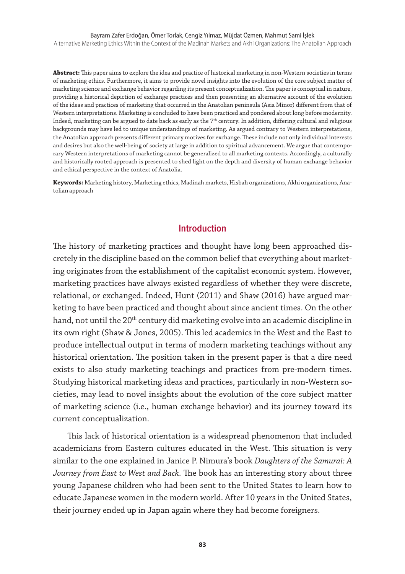#### Bayram Zafer Erdoğan, Ömer Torlak, Cengiz Yılmaz, Müjdat Özmen, Mahmut Sami İşlek

Alternative Marketing Ethics Within the Context of the Madinah Markets and Akhi Organizations: The Anatolian Approach

**Abstract:** This paper aims to explore the idea and practice of historical marketing in non-Western societies in terms of marketing ethics. Furthermore, it aims to provide novel insights into the evolution of the core subject matter of marketing science and exchange behavior regarding its present conceptualization. The paper is conceptual in nature, providing a historical depiction of exchange practices and then presenting an alternative account of the evolution of the ideas and practices of marketing that occurred in the Anatolian peninsula (Asia Minor) different from that of Western interpretations. Marketing is concluded to have been practiced and pondered about long before modernity. Indeed, marketing can be argued to date back as early as the 7<sup>th</sup> century. In addition, differing cultural and religious backgrounds may have led to unique understandings of marketing. As argued contrary to Western interpretations, the Anatolian approach presents different primary motives for exchange. These include not only individual interests and desires but also the well-being of society at large in addition to spiritual advancement. We argue that contemporary Western interpretations of marketing cannot be generalized to all marketing contexts. Accordingly, a culturally and historically rooted approach is presented to shed light on the depth and diversity of human exchange behavior and ethical perspective in the context of Anatolia.

**Keywords:** Marketing history, Marketing ethics, Madinah markets, Hisbah organizations, Akhi organizations, Anatolian approach

#### **Introduction**

The history of marketing practices and thought have long been approached discretely in the discipline based on the common belief that everything about marketing originates from the establishment of the capitalist economic system. However, marketing practices have always existed regardless of whether they were discrete, relational, or exchanged. Indeed, Hunt (2011) and Shaw (2016) have argued marketing to have been practiced and thought about since ancient times. On the other hand, not until the 20<sup>th</sup> century did marketing evolve into an academic discipline in its own right (Shaw & Jones, 2005). This led academics in the West and the East to produce intellectual output in terms of modern marketing teachings without any historical orientation. The position taken in the present paper is that a dire need exists to also study marketing teachings and practices from pre-modern times. Studying historical marketing ideas and practices, particularly in non-Western societies, may lead to novel insights about the evolution of the core subject matter of marketing science (i.e., human exchange behavior) and its journey toward its current conceptualization.

This lack of historical orientation is a widespread phenomenon that included academicians from Eastern cultures educated in the West. This situation is very similar to the one explained in Janice P. Nimura's book *Daughters of the Samurai: A Journey from East to West and Back*. The book has an interesting story about three young Japanese children who had been sent to the United States to learn how to educate Japanese women in the modern world. After 10 years in the United States, their journey ended up in Japan again where they had become foreigners.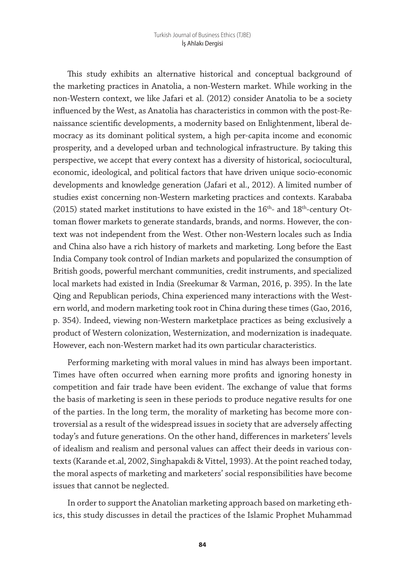This study exhibits an alternative historical and conceptual background of the marketing practices in Anatolia, a non-Western market. While working in the non-Western context, we like Jafari et al. (2012) consider Anatolia to be a society influenced by the West, as Anatolia has characteristics in common with the post-Renaissance scientific developments, a modernity based on Enlightenment, liberal democracy as its dominant political system, a high per-capita income and economic prosperity, and a developed urban and technological infrastructure. By taking this perspective, we accept that every context has a diversity of historical, sociocultural, economic, ideological, and political factors that have driven unique socio-economic developments and knowledge generation (Jafari et al., 2012). A limited number of studies exist concerning non-Western marketing practices and contexts. Karababa (2015) stated market institutions to have existed in the  $16<sup>th</sup>$ - and  $18<sup>th</sup>$ -century Ottoman flower markets to generate standards, brands, and norms. However, the context was not independent from the West. Other non-Western locales such as India and China also have a rich history of markets and marketing. Long before the East India Company took control of Indian markets and popularized the consumption of British goods, powerful merchant communities, credit instruments, and specialized local markets had existed in India (Sreekumar & Varman, 2016, p. 395). In the late Qing and Republican periods, China experienced many interactions with the Western world, and modern marketing took root in China during these times (Gao, 2016, p. 354). Indeed, viewing non-Western marketplace practices as being exclusively a product of Western colonization, Westernization, and modernization is inadequate. However, each non-Western market had its own particular characteristics.

Performing marketing with moral values in mind has always been important. Times have often occurred when earning more profits and ignoring honesty in competition and fair trade have been evident. The exchange of value that forms the basis of marketing is seen in these periods to produce negative results for one of the parties. In the long term, the morality of marketing has become more controversial as a result of the widespread issues in society that are adversely affecting today's and future generations. On the other hand, differences in marketers' levels of idealism and realism and personal values can affect their deeds in various contexts (Karande et.al, 2002, Singhapakdi & Vittel, 1993). At the point reached today, the moral aspects of marketing and marketers' social responsibilities have become issues that cannot be neglected.

In order to support the Anatolian marketing approach based on marketing ethics, this study discusses in detail the practices of the Islamic Prophet Muhammad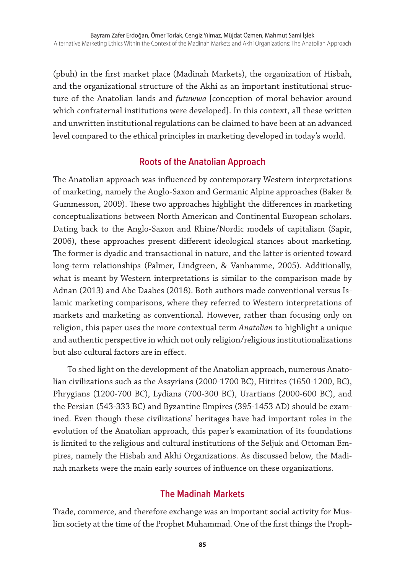(pbuh) in the first market place (Madinah Markets), the organization of Hisbah, and the organizational structure of the Akhi as an important institutional structure of the Anatolian lands and *futuwwa* [conception of moral behavior around which confraternal institutions were developed]. In this context, all these written and unwritten institutional regulations can be claimed to have been at an advanced level compared to the ethical principles in marketing developed in today's world.

### **Roots of the Anatolian Approach**

The Anatolian approach was influenced by contemporary Western interpretations of marketing, namely the Anglo-Saxon and Germanic Alpine approaches (Baker & Gummesson, 2009). These two approaches highlight the differences in marketing conceptualizations between North American and Continental European scholars. Dating back to the Anglo-Saxon and Rhine/Nordic models of capitalism (Sapir, 2006), these approaches present different ideological stances about marketing. The former is dyadic and transactional in nature, and the latter is oriented toward long-term relationships (Palmer, Lindgreen, & Vanhamme, 2005). Additionally, what is meant by Western interpretations is similar to the comparison made by Adnan (2013) and Abe Daabes (2018). Both authors made conventional versus Islamic marketing comparisons, where they referred to Western interpretations of markets and marketing as conventional. However, rather than focusing only on religion, this paper uses the more contextual term *Anatolian* to highlight a unique and authentic perspective in which not only religion/religious institutionalizations but also cultural factors are in effect.

To shed light on the development of the Anatolian approach, numerous Anatolian civilizations such as the Assyrians (2000-1700 BC), Hittites (1650-1200, BC), Phrygians (1200-700 BC), Lydians (700-300 BC), Urartians (2000-600 BC), and the Persian (543-333 BC) and Byzantine Empires (395-1453 AD) should be examined. Even though these civilizations' heritages have had important roles in the evolution of the Anatolian approach, this paper's examination of its foundations is limited to the religious and cultural institutions of the Seljuk and Ottoman Empires, namely the Hisbah and Akhi Organizations. As discussed below, the Madinah markets were the main early sources of influence on these organizations.

#### **The Madinah Markets**

Trade, commerce, and therefore exchange was an important social activity for Muslim society at the time of the Prophet Muhammad. One of the first things the Proph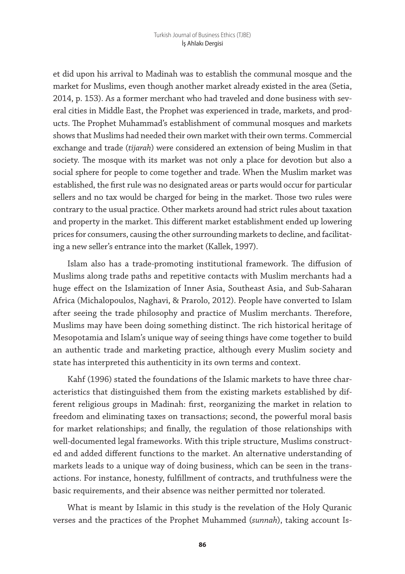et did upon his arrival to Madinah was to establish the communal mosque and the market for Muslims, even though another market already existed in the area (Setia, 2014, p. 153). As a former merchant who had traveled and done business with several cities in Middle East, the Prophet was experienced in trade, markets, and products. The Prophet Muhammad's establishment of communal mosques and markets shows that Muslims had needed their own market with their own terms. Commercial exchange and trade (*tijarah*) were considered an extension of being Muslim in that society. The mosque with its market was not only a place for devotion but also a social sphere for people to come together and trade. When the Muslim market was established, the first rule was no designated areas or parts would occur for particular sellers and no tax would be charged for being in the market. Those two rules were contrary to the usual practice. Other markets around had strict rules about taxation and property in the market. This different market establishment ended up lowering prices for consumers, causing the other surrounding markets to decline, and facilitating a new seller's entrance into the market (Kallek, 1997).

Islam also has a trade-promoting institutional framework. The diffusion of Muslims along trade paths and repetitive contacts with Muslim merchants had a huge effect on the Islamization of Inner Asia, Southeast Asia, and Sub-Saharan Africa (Michalopoulos, Naghavi, & Prarolo, 2012). People have converted to Islam after seeing the trade philosophy and practice of Muslim merchants. Therefore, Muslims may have been doing something distinct. The rich historical heritage of Mesopotamia and Islam's unique way of seeing things have come together to build an authentic trade and marketing practice, although every Muslim society and state has interpreted this authenticity in its own terms and context.

Kahf (1996) stated the foundations of the Islamic markets to have three characteristics that distinguished them from the existing markets established by different religious groups in Madinah: first, reorganizing the market in relation to freedom and eliminating taxes on transactions; second, the powerful moral basis for market relationships; and finally, the regulation of those relationships with well-documented legal frameworks. With this triple structure, Muslims constructed and added different functions to the market. An alternative understanding of markets leads to a unique way of doing business, which can be seen in the transactions. For instance, honesty, fulfillment of contracts, and truthfulness were the basic requirements, and their absence was neither permitted nor tolerated.

What is meant by Islamic in this study is the revelation of the Holy Quranic verses and the practices of the Prophet Muhammed (*sunnah*), taking account Is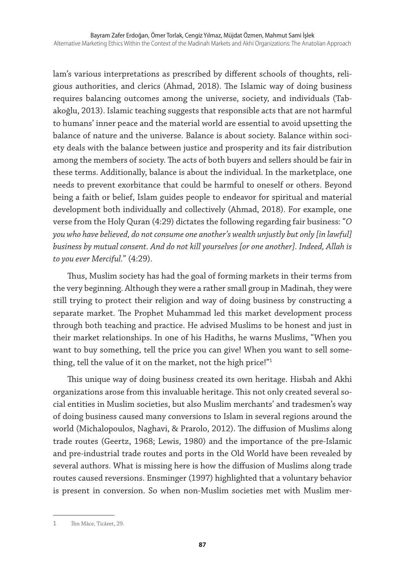lam's various interpretations as prescribed by different schools of thoughts, religious authorities, and clerics (Ahmad, 2018). The Islamic way of doing business requires balancing outcomes among the universe, society, and individuals (Tabakoğlu, 2013). Islamic teaching suggests that responsible acts that are not harmful to humans' inner peace and the material world are essential to avoid upsetting the balance of nature and the universe. Balance is about society. Balance within society deals with the balance between justice and prosperity and its fair distribution among the members of society. The acts of both buyers and sellers should be fair in these terms. Additionally, balance is about the individual. In the marketplace, one needs to prevent exorbitance that could be harmful to oneself or others. Beyond being a faith or belief, Islam guides people to endeavor for spiritual and material development both individually and collectively (Ahmad, 2018). For example, one verse from the Holy Quran (4:29) dictates the following regarding fair business: "*O you who have believed, do not consume one another's wealth unjustly but only [in lawful] business by mutual consent. And do not kill yourselves [or one another]. Indeed, Allah is to you ever Merciful.*" (4:29).

Thus, Muslim society has had the goal of forming markets in their terms from the very beginning. Although they were a rather small group in Madinah, they were still trying to protect their religion and way of doing business by constructing a separate market. The Prophet Muhammad led this market development process through both teaching and practice. He advised Muslims to be honest and just in their market relationships. In one of his Hadiths, he warns Muslims, "When you want to buy something, tell the price you can give! When you want to sell something, tell the value of it on the market, not the high price!"1

This unique way of doing business created its own heritage. Hisbah and Akhi organizations arose from this invaluable heritage. This not only created several social entities in Muslim societies, but also Muslim merchants' and tradesmen's way of doing business caused many conversions to Islam in several regions around the world (Michalopoulos, Naghavi, & Prarolo, 2012). The diffusion of Muslims along trade routes (Geertz, 1968; Lewis, 1980) and the importance of the pre-Islamic and pre-industrial trade routes and ports in the Old World have been revealed by several authors. What is missing here is how the diffusion of Muslims along trade routes caused reversions. Ensminger (1997) highlighted that a voluntary behavior is present in conversion. So when non-Muslim societies met with Muslim mer-

<sup>1</sup> İbn Mâce, Ticâret, 29.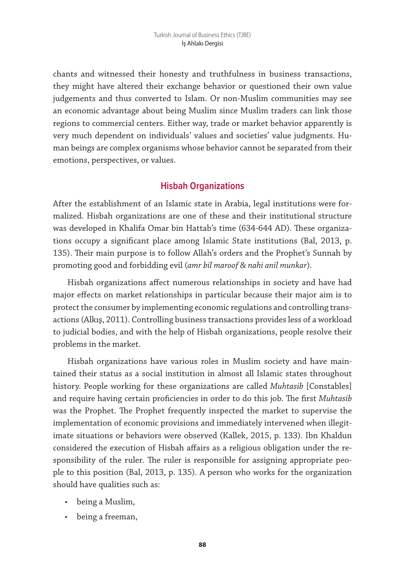chants and witnessed their honesty and truthfulness in business transactions, they might have altered their exchange behavior or questioned their own value judgements and thus converted to Islam. Or non-Muslim communities may see an economic advantage about being Muslim since Muslim traders can link those regions to commercial centers. Either way, trade or market behavior apparently is very much dependent on individuals' values and societies' value judgments. Human beings are complex organisms whose behavior cannot be separated from their emotions, perspectives, or values.

#### **Hisbah Organizations**

After the establishment of an Islamic state in Arabia, legal institutions were formalized. Hisbah organizations are one of these and their institutional structure was developed in Khalifa Omar bin Hattab's time (634-644 AD). These organizations occupy a significant place among Islamic State institutions (Bal, 2013, p. 135). Their main purpose is to follow Allah's orders and the Prophet's Sunnah by promoting good and forbidding evil (*amr bil maroof & nahi anil munkar*).

Hisbah organizations affect numerous relationships in society and have had major effects on market relationships in particular because their major aim is to protect the consumer by implementing economic regulations and controlling transactions (Alkış, 2011). Controlling business transactions provides less of a workload to judicial bodies, and with the help of Hisbah organizations, people resolve their problems in the market.

Hisbah organizations have various roles in Muslim society and have maintained their status as a social institution in almost all Islamic states throughout history. People working for these organizations are called *Muhtasib* [Constables] and require having certain proficiencies in order to do this job. The first *Muhtasib* was the Prophet. The Prophet frequently inspected the market to supervise the implementation of economic provisions and immediately intervened when illegitimate situations or behaviors were observed (Kallek, 2015, p. 133). Ibn Khaldun considered the execution of Hisbah affairs as a religious obligation under the responsibility of the ruler. The ruler is responsible for assigning appropriate people to this position (Bal, 2013, p. 135). A person who works for the organization should have qualities such as:

- being a Muslim,
- being a freeman,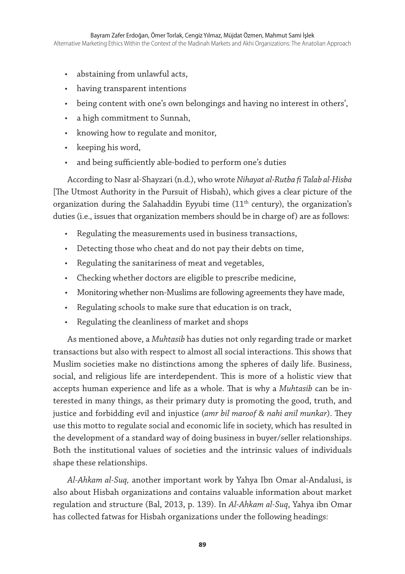- abstaining from unlawful acts,
- having transparent intentions
- being content with one's own belongings and having no interest in others',
- a high commitment to Sunnah,
- knowing how to regulate and monitor,
- keeping his word,
- and being sufficiently able-bodied to perform one's duties

According to Nasr al-Shayzari (n.d.), who wrote *Nihayat al-Rutba fi Talab al-Hisba*  [The Utmost Authority in the Pursuit of Hisbah), which gives a clear picture of the organization during the Salahaddin Eyyubi time  $(11<sup>th</sup>$  century), the organization's duties (i.e., issues that organization members should be in charge of) are as follows:

- Regulating the measurements used in business transactions,
- Detecting those who cheat and do not pay their debts on time,
- Regulating the sanitariness of meat and vegetables,
- Checking whether doctors are eligible to prescribe medicine,
- Monitoring whether non-Muslims are following agreements they have made,
- Regulating schools to make sure that education is on track,
- Regulating the cleanliness of market and shops

As mentioned above, a *Muhtasib* has duties not only regarding trade or market transactions but also with respect to almost all social interactions. This shows that Muslim societies make no distinctions among the spheres of daily life. Business, social, and religious life are interdependent. This is more of a holistic view that accepts human experience and life as a whole. That is why a *Muhtasib* can be interested in many things, as their primary duty is promoting the good, truth, and justice and forbidding evil and injustice (*amr bil maroof & nahi anil munkar*). They use this motto to regulate social and economic life in society, which has resulted in the development of a standard way of doing business in buyer/seller relationships. Both the institutional values of societies and the intrinsic values of individuals shape these relationships.

*Al-Ahkam al-Suq,* another important work by Yahya Ibn Omar al-Andalusi, is also about Hisbah organizations and contains valuable information about market regulation and structure (Bal, 2013, p. 139). In *Al-Ahkam al-Suq*, Yahya ibn Omar has collected fatwas for Hisbah organizations under the following headings: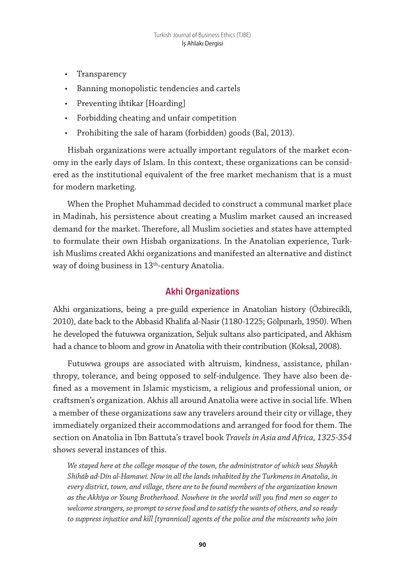- Transparency
- Banning monopolistic tendencies and cartels
- Preventing ihtikar [Hoarding]
- Forbidding cheating and unfair competition
- Prohibiting the sale of haram (forbidden) goods (Bal, 2013).

Hisbah organizations were actually important regulators of the market economy in the early days of Islam. In this context, these organizations can be considered as the institutional equivalent of the free market mechanism that is a must for modern marketing.

When the Prophet Muhammad decided to construct a communal market place in Madinah, his persistence about creating a Muslim market caused an increased demand for the market. Therefore, all Muslim societies and states have attempted to formulate their own Hisbah organizations. In the Anatolian experience, Turkish Muslims created Akhi organizations and manifested an alternative and distinct way of doing business in 13<sup>th</sup>-century Anatolia.

## **Akhi Organizations**

Akhi organizations, being a pre-guild experience in Anatolian history (Özbirecikli, 2010), date back to the Abbasid Khalifa al-Nasir (1180-1225; Gölpınarlı, 1950). When he developed the futuwwa organization, Seljuk sultans also participated, and Akhism had a chance to bloom and grow in Anatolia with their contribution (Köksal, 2008).

Futuwwa groups are associated with altruism, kindness, assistance, philanthropy, tolerance, and being opposed to self-indulgence. They have also been defined as a movement in Islamic mysticism, a religious and professional union, or craftsmen's organization. Akhis all around Anatolia were active in social life. When a member of these organizations saw any travelers around their city or village, they immediately organized their accommodations and arranged for food for them. The section on Anatolia in Ibn Battuta's travel book *Travels in Asia and Africa, 1325-354*  shows several instances of this.

*We stayed here at the college mosque of the town, the administrator of which was Shaykh Shiháb ad-Dín al-Hamawí. Now in all the lands inhabited by the Turkmens in Anatolia, in every district, town, and village, there are to be found members of the organization known as the Akhíya or Young Brotherhood. Nowhere in the world will you find men so eager to welcome strangers, so prompt to serve food and to satisfy the wants of others, and so ready to suppress injustice and kill [tyrannical] agents of the police and the miscreants who join*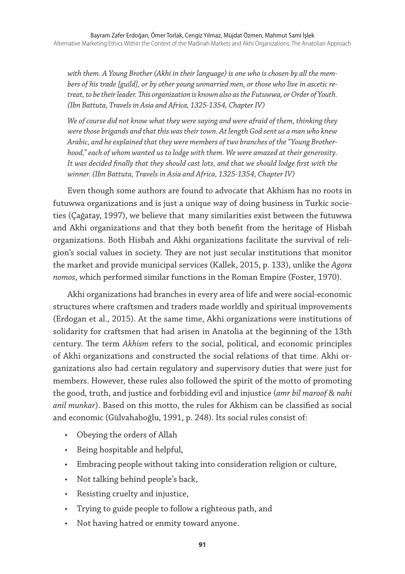*with them. A Young Brother (Akhí in their language) is one who is chosen by all the members of his trade [guild], or by other young unmarried men, or those who live in ascetic retreat, to be their leader. This organization is known also as the Futuwwa, or Order of Youth. (Ibn Battuta, Travels in Asia and Africa, 1325-1354, Chapter IV)*

*We of course did not know what they were saying and were afraid of them, thinking they were those brigands and that this was their town. At length God sent us a man who knew Arabic, and he explained that they were members of two branches of the "Young Brotherhood," each of whom wanted us to lodge with them. We were amazed at their generosity. It was decided finally that they should cast lots, and that we should lodge first with the winner. (Ibn Battuta, Travels in Asia and Africa, 1325-1354, Chapter IV)*

Even though some authors are found to advocate that Akhism has no roots in futuwwa organizations and is just a unique way of doing business in Turkic societies (Çağatay, 1997), we believe that many similarities exist between the futuwwa and Akhi organizations and that they both benefit from the heritage of Hisbah organizations. Both Hisbah and Akhi organizations facilitate the survival of religion's social values in society. They are not just secular institutions that monitor the market and provide municipal services (Kallek, 2015, p. 133), unlike the *Agora nomos*, which performed similar functions in the Roman Empire (Foster, 1970).

Akhi organizations had branches in every area of life and were social-economic structures where craftsmen and traders made worldly and spiritual improvements (Erdogan et al., 2015). At the same time, Akhi organizations were institutions of solidarity for craftsmen that had arisen in Anatolia at the beginning of the 13th century. The term *Akhism* refers to the social, political, and economic principles of Akhi organizations and constructed the social relations of that time. Akhi organizations also had certain regulatory and supervisory duties that were just for members. However, these rules also followed the spirit of the motto of promoting the good, truth, and justice and forbidding evil and injustice (*amr bil maroof & nahi anil munkar*). Based on this motto, the rules for Akhism can be classified as social and economic (Gülvahaboğlu, 1991, p. 248). Its social rules consist of:

- Obeying the orders of Allah
- Being hospitable and helpful,
- Embracing people without taking into consideration religion or culture,
- Not talking behind people's back,
- Resisting cruelty and injustice,
- Trying to guide people to follow a righteous path, and
- Not having hatred or enmity toward anyone.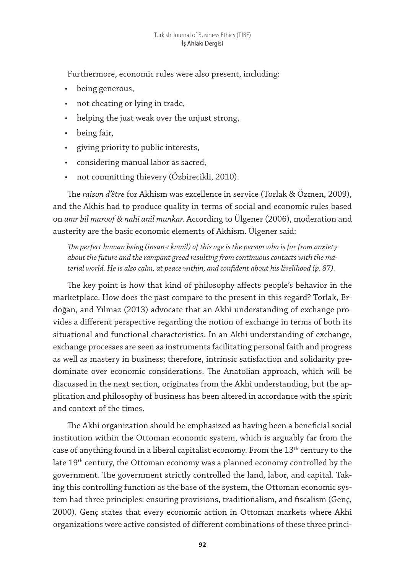Furthermore, economic rules were also present, including:

- being generous,
- not cheating or lying in trade,
- helping the just weak over the unjust strong,
- being fair,
- giving priority to public interests,
- considering manual labor as sacred,
- not committing thievery (Özbirecikli, 2010).

The *raison d'être* for Akhism was excellence in service (Torlak & Özmen, 2009), and the Akhis had to produce quality in terms of social and economic rules based on *amr bil maroof & nahi anil munkar.* According to Ülgener (2006), moderation and austerity are the basic economic elements of Akhism. Ülgener said:

*The perfect human being (insan-ı kamil) of this age is the person who is far from anxiety about the future and the rampant greed resulting from continuous contacts with the material world. He is also calm, at peace within, and confident about his livelihood (p. 87).*

The key point is how that kind of philosophy affects people's behavior in the marketplace. How does the past compare to the present in this regard? Torlak, Erdoğan, and Yılmaz (2013) advocate that an Akhi understanding of exchange provides a different perspective regarding the notion of exchange in terms of both its situational and functional characteristics. In an Akhi understanding of exchange, exchange processes are seen as instruments facilitating personal faith and progress as well as mastery in business; therefore, intrinsic satisfaction and solidarity predominate over economic considerations. The Anatolian approach, which will be discussed in the next section, originates from the Akhi understanding, but the application and philosophy of business has been altered in accordance with the spirit and context of the times.

The Akhi organization should be emphasized as having been a beneficial social institution within the Ottoman economic system, which is arguably far from the case of anything found in a liberal capitalist economy. From the  $13<sup>th</sup>$  century to the late 19<sup>th</sup> century, the Ottoman economy was a planned economy controlled by the government. The government strictly controlled the land, labor, and capital. Taking this controlling function as the base of the system, the Ottoman economic system had three principles: ensuring provisions, traditionalism, and fiscalism (Genç, 2000). Genç states that every economic action in Ottoman markets where Akhi organizations were active consisted of different combinations of these three princi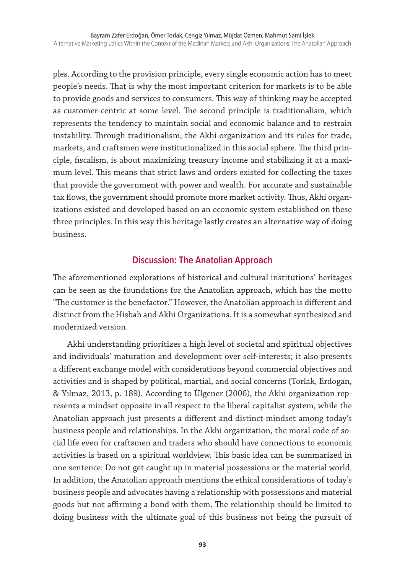ples. According to the provision principle, every single economic action has to meet people's needs. That is why the most important criterion for markets is to be able to provide goods and services to consumers. This way of thinking may be accepted as customer-centric at some level. The second principle is traditionalism, which represents the tendency to maintain social and economic balance and to restrain instability. Through traditionalism, the Akhi organization and its rules for trade, markets, and craftsmen were institutionalized in this social sphere. The third principle, fiscalism, is about maximizing treasury income and stabilizing it at a maximum level. This means that strict laws and orders existed for collecting the taxes that provide the government with power and wealth. For accurate and sustainable tax flows, the government should promote more market activity. Thus, Akhi organizations existed and developed based on an economic system established on these three principles. In this way this heritage lastly creates an alternative way of doing business.

### **Discussion: The Anatolian Approach**

The aforementioned explorations of historical and cultural institutions' heritages can be seen as the foundations for the Anatolian approach, which has the motto "The customer is the benefactor." However, the Anatolian approach is different and distinct from the Hisbah and Akhi Organizations. It is a somewhat synthesized and modernized version.

Akhi understanding prioritizes a high level of societal and spiritual objectives and individuals' maturation and development over self-interests; it also presents a different exchange model with considerations beyond commercial objectives and activities and is shaped by political, martial, and social concerns (Torlak, Erdogan, & Yılmaz, 2013, p. 189). According to Ülgener (2006), the Akhi organization represents a mindset opposite in all respect to the liberal capitalist system, while the Anatolian approach just presents a different and distinct mindset among today's business people and relationships. In the Akhi organization, the moral code of social life even for craftsmen and traders who should have connections to economic activities is based on a spiritual worldview. This basic idea can be summarized in one sentence: Do not get caught up in material possessions or the material world. In addition, the Anatolian approach mentions the ethical considerations of today's business people and advocates having a relationship with possessions and material goods but not affirming a bond with them. The relationship should be limited to doing business with the ultimate goal of this business not being the pursuit of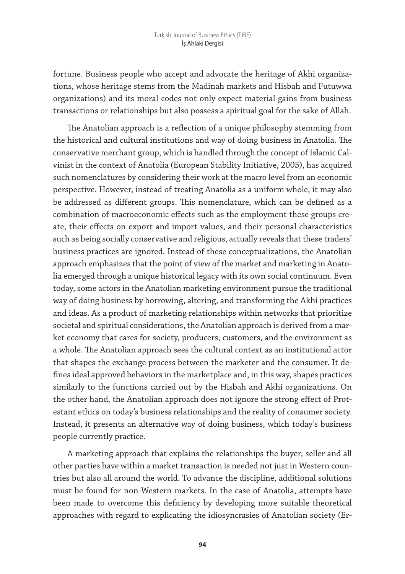fortune. Business people who accept and advocate the heritage of Akhi organizations, whose heritage stems from the Madinah markets and Hisbah and Futuwwa organizations) and its moral codes not only expect material gains from business transactions or relationships but also possess a spiritual goal for the sake of Allah.

The Anatolian approach is a reflection of a unique philosophy stemming from the historical and cultural institutions and way of doing business in Anatolia. The conservative merchant group, which is handled through the concept of Islamic Calvinist in the context of Anatolia (European Stability Initiative, 2005), has acquired such nomenclatures by considering their work at the macro level from an economic perspective. However, instead of treating Anatolia as a uniform whole, it may also be addressed as different groups. This nomenclature, which can be defined as a combination of macroeconomic effects such as the employment these groups create, their effects on export and import values, and their personal characteristics such as being socially conservative and religious, actually reveals that these traders' business practices are ignored. Instead of these conceptualizations, the Anatolian approach emphasizes that the point of view of the market and marketing in Anatolia emerged through a unique historical legacy with its own social continuum. Even today, some actors in the Anatolian marketing environment pursue the traditional way of doing business by borrowing, altering, and transforming the Akhi practices and ideas. As a product of marketing relationships within networks that prioritize societal and spiritual considerations, the Anatolian approach is derived from a market economy that cares for society, producers, customers, and the environment as a whole. The Anatolian approach sees the cultural context as an institutional actor that shapes the exchange process between the marketer and the consumer. It defines ideal approved behaviors in the marketplace and, in this way, shapes practices similarly to the functions carried out by the Hisbah and Akhi organizations. On the other hand, the Anatolian approach does not ignore the strong effect of Protestant ethics on today's business relationships and the reality of consumer society. Instead, it presents an alternative way of doing business, which today's business people currently practice.

A marketing approach that explains the relationships the buyer, seller and all other parties have within a market transaction is needed not just in Western countries but also all around the world. To advance the discipline, additional solutions must be found for non-Western markets. In the case of Anatolia, attempts have been made to overcome this deficiency by developing more suitable theoretical approaches with regard to explicating the idiosyncrasies of Anatolian society (Er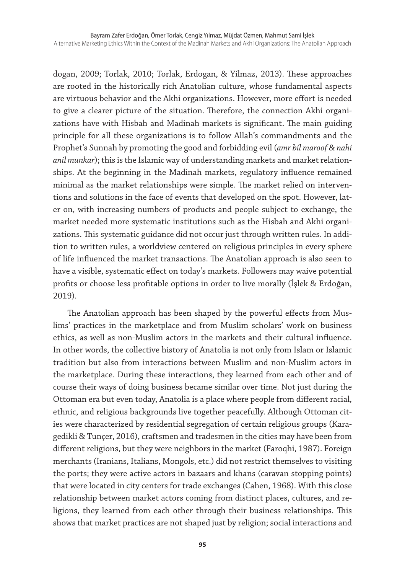dogan, 2009; Torlak, 2010; Torlak, Erdogan, & Yilmaz, 2013). These approaches are rooted in the historically rich Anatolian culture, whose fundamental aspects are virtuous behavior and the Akhi organizations. However, more effort is needed to give a clearer picture of the situation. Therefore, the connection Akhi organizations have with Hisbah and Madinah markets is significant. The main guiding principle for all these organizations is to follow Allah's commandments and the Prophet's Sunnah by promoting the good and forbidding evil (*amr bil maroof & nahi anil munkar*); this is the Islamic way of understanding markets and market relationships. At the beginning in the Madinah markets, regulatory influence remained minimal as the market relationships were simple. The market relied on interventions and solutions in the face of events that developed on the spot. However, later on, with increasing numbers of products and people subject to exchange, the market needed more systematic institutions such as the Hisbah and Akhi organizations. This systematic guidance did not occur just through written rules. In addition to written rules, a worldview centered on religious principles in every sphere of life influenced the market transactions. The Anatolian approach is also seen to have a visible, systematic effect on today's markets. Followers may waive potential profits or choose less profitable options in order to live morally (İşlek & Erdoğan, 2019).

The Anatolian approach has been shaped by the powerful effects from Muslims' practices in the marketplace and from Muslim scholars' work on business ethics, as well as non-Muslim actors in the markets and their cultural influence. In other words, the collective history of Anatolia is not only from Islam or Islamic tradition but also from interactions between Muslim and non-Muslim actors in the marketplace. During these interactions, they learned from each other and of course their ways of doing business became similar over time. Not just during the Ottoman era but even today, Anatolia is a place where people from different racial, ethnic, and religious backgrounds live together peacefully. Although Ottoman cities were characterized by residential segregation of certain religious groups (Karagedikli & Tunçer, 2016), craftsmen and tradesmen in the cities may have been from different religions, but they were neighbors in the market (Faroqhi, 1987). Foreign merchants (Iranians, Italians, Mongols, etc.) did not restrict themselves to visiting the ports; they were active actors in bazaars and khans (caravan stopping points) that were located in city centers for trade exchanges (Cahen, 1968). With this close relationship between market actors coming from distinct places, cultures, and religions, they learned from each other through their business relationships. This shows that market practices are not shaped just by religion; social interactions and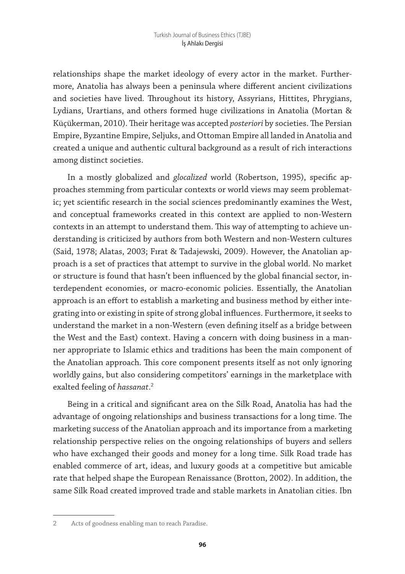relationships shape the market ideology of every actor in the market. Furthermore, Anatolia has always been a peninsula where different ancient civilizations and societies have lived. Throughout its history, Assyrians, Hittites, Phrygians, Lydians, Urartians, and others formed huge civilizations in Anatolia (Mortan & Küçükerman, 2010). Their heritage was accepted *posteriori* by societies. The Persian Empire, Byzantine Empire, Seljuks, and Ottoman Empire all landed in Anatolia and created a unique and authentic cultural background as a result of rich interactions among distinct societies.

In a mostly globalized and *glocalized* world (Robertson, 1995), specific approaches stemming from particular contexts or world views may seem problematic; yet scientific research in the social sciences predominantly examines the West, and conceptual frameworks created in this context are applied to non-Western contexts in an attempt to understand them. This way of attempting to achieve understanding is criticized by authors from both Western and non-Western cultures (Said, 1978; Alatas, 2003; Fırat & Tadajewski, 2009). However, the Anatolian approach is a set of practices that attempt to survive in the global world. No market or structure is found that hasn't been influenced by the global financial sector, interdependent economies, or macro-economic policies. Essentially, the Anatolian approach is an effort to establish a marketing and business method by either integrating into or existing in spite of strong global influences. Furthermore, it seeks to understand the market in a non-Western (even defining itself as a bridge between the West and the East) context. Having a concern with doing business in a manner appropriate to Islamic ethics and traditions has been the main component of the Anatolian approach. This core component presents itself as not only ignoring worldly gains, but also considering competitors' earnings in the marketplace with exalted feeling of *hassanat*. 2

Being in a critical and significant area on the Silk Road, Anatolia has had the advantage of ongoing relationships and business transactions for a long time. The marketing success of the Anatolian approach and its importance from a marketing relationship perspective relies on the ongoing relationships of buyers and sellers who have exchanged their goods and money for a long time. Silk Road trade has enabled commerce of art, ideas, and luxury goods at a competitive but amicable rate that helped shape the European Renaissance (Brotton, 2002). In addition, the same Silk Road created improved trade and stable markets in Anatolian cities. Ibn

<sup>2</sup> Acts of goodness enabling man to reach Paradise.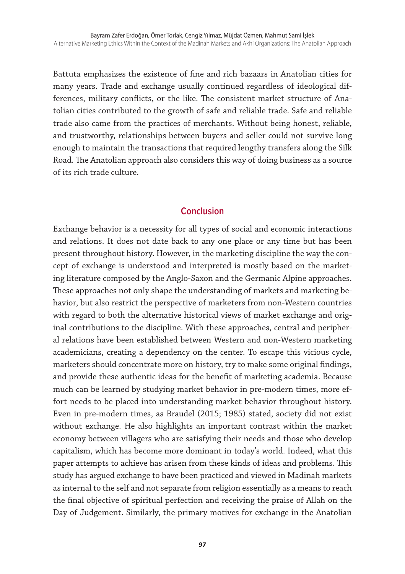Battuta emphasizes the existence of fine and rich bazaars in Anatolian cities for many years. Trade and exchange usually continued regardless of ideological differences, military conflicts, or the like. The consistent market structure of Anatolian cities contributed to the growth of safe and reliable trade. Safe and reliable trade also came from the practices of merchants. Without being honest, reliable, and trustworthy, relationships between buyers and seller could not survive long enough to maintain the transactions that required lengthy transfers along the Silk Road. The Anatolian approach also considers this way of doing business as a source of its rich trade culture.

#### **Conclusion**

Exchange behavior is a necessity for all types of social and economic interactions and relations. It does not date back to any one place or any time but has been present throughout history. However, in the marketing discipline the way the concept of exchange is understood and interpreted is mostly based on the marketing literature composed by the Anglo-Saxon and the Germanic Alpine approaches. These approaches not only shape the understanding of markets and marketing behavior, but also restrict the perspective of marketers from non-Western countries with regard to both the alternative historical views of market exchange and original contributions to the discipline. With these approaches, central and peripheral relations have been established between Western and non-Western marketing academicians, creating a dependency on the center. To escape this vicious cycle, marketers should concentrate more on history, try to make some original findings, and provide these authentic ideas for the benefit of marketing academia. Because much can be learned by studying market behavior in pre-modern times, more effort needs to be placed into understanding market behavior throughout history. Even in pre-modern times, as Braudel (2015; 1985) stated, society did not exist without exchange. He also highlights an important contrast within the market economy between villagers who are satisfying their needs and those who develop capitalism, which has become more dominant in today's world. Indeed, what this paper attempts to achieve has arisen from these kinds of ideas and problems. This study has argued exchange to have been practiced and viewed in Madinah markets as internal to the self and not separate from religion essentially as a means to reach the final objective of spiritual perfection and receiving the praise of Allah on the Day of Judgement. Similarly, the primary motives for exchange in the Anatolian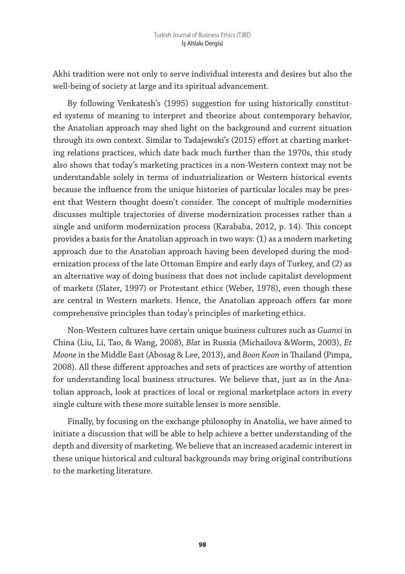Akhi tradition were not only to serve individual interests and desires but also the well-being of society at large and its spiritual advancement.

By following Venkatesh's (1995) suggestion for using historically constituted systems of meaning to interpret and theorize about contemporary behavior, the Anatolian approach may shed light on the background and current situation through its own context. Similar to Tadajewski's (2015) effort at charting marketing relations practices, which date back much further than the 1970s, this study also shows that today's marketing practices in a non-Western context may not be understandable solely in terms of industrialization or Western historical events because the influence from the unique histories of particular locales may be present that Western thought doesn't consider. The concept of multiple modernities discusses multiple trajectories of diverse modernization processes rather than a single and uniform modernization process (Karababa, 2012, p. 14). This concept provides a basis for the Anatolian approach in two ways: (1) as a modern marketing approach due to the Anatolian approach having been developed during the modernization process of the late Ottoman Empire and early days of Turkey, and (2) as an alternative way of doing business that does not include capitalist development of markets (Slater, 1997) or Protestant ethics (Weber, 1978), even though these are central in Western markets. Hence, the Anatolian approach offers far more comprehensive principles than today's principles of marketing ethics.

Non-Western cultures have certain unique business cultures such as *Guanxi* in China (Liu, Li, Tao, & Wang, 2008), *Blat* in Russia (Michailova &Worm, 2003), *Et Moone* in the Middle East (Abosag & Lee, 2013), and *Boon Koon* in Thailand (Pimpa, 2008). All these different approaches and sets of practices are worthy of attention for understanding local business structures. We believe that, just as in the Anatolian approach, look at practices of local or regional marketplace actors in every single culture with these more suitable lenses is more sensible.

Finally, by focusing on the exchange philosophy in Anatolia, we have aimed to initiate a discussion that will be able to help achieve a better understanding of the depth and diversity of marketing. We believe that an increased academic interest in these unique historical and cultural backgrounds may bring original contributions to the marketing literature.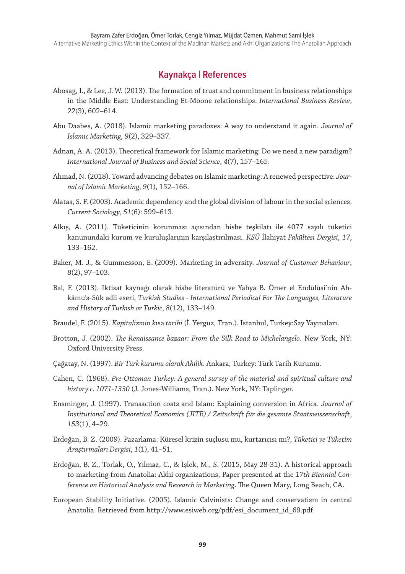#### **Kaynakça | References**

- Abosag, I., & Lee, J. W. (2013). The formation of trust and commitment in business relationships in the Middle East: Understanding Et-Moone relationships. *International Business Review*, *22*(3), 602–614.
- Abu Daabes, A. (2018). Islamic marketing paradoxes: A way to understand it again. *Journal of Islamic Marketing*, *9*(2), 329–337.
- Adnan, A. A. (2013). Theoretical framework for Islamic marketing: Do we need a new paradigm? *International Journal of Business and Social Science*, *4*(7), 157–165.
- Ahmad, N. (2018). Toward advancing debates on Islamic marketing: A renewed perspective. *Journal of Islamic Marketing*, *9*(1), 152–166.
- Alatas, S. F. (2003). Academic dependency and the global division of labour in the social sciences. *Current Sociology*, *51*(6): 599–613.
- Alkış, A. (2011). Tüketicinin korunması açısından hisbe teşkilatı ile 4077 sayılı tüketici kanunundaki kurum ve kuruluşlarının karşılaştırılması. *KSÜ* İlahiyat *Fakültesi Dergisi*, *17*, 133–162.
- Baker, M. J., & Gummesson, E. (2009). Marketing in adversity. *Journal of Customer Behaviour*, *8*(2), 97–103.
- Bal, F. (2013). Iktisat kaynağı olarak hisbe literatürü ve Yahya B. Ömer el Endülüsi'nin Ahkâmu's-Sûk adli eseri, *Turkish Studies - International Periodical For The Languages, Literature and History of Turkish or Turkic*, *8*(12), 133–149.
- Braudel, F. (2015). *Kapitalizmin k*ısa *tarihi* (İ. Yerguz, Tran.). Istanbul, Turkey:Say Yayınaları.
- Brotton, J. (2002). *The Renaissance bazaar: From the Silk Road to Michelangelo*. New York, NY: Oxford University Press.
- Çağatay, N. (1997). *Bir Türk kurumu olarak Ahilik*. Ankara, Turkey: Türk Tarih Kurumu.
- Cahen, C. (1968). *Pre-Ottoman Turkey: A general survey of the material and spiritual culture and history c. 1071-1330* (J. Jones-Williams, Tran.). New York, NY: Taplinger.
- Ensminger, J. (1997). Transaction costs and Islam: Explaining conversion in Africa. *Journal of Institutional and Theoretical Economics (JITE) / Zeitschrift für die gesamte Staatswissenschaft*, *153*(1), 4–29.
- Erdoğan, B. Z. (2009). Pazarlama: Küresel krizin suçlusu mu, kurtarıcısı mı?, *Tüketici ve Tüketim Araştırmaları Dergisi*, *1*(1), 41–51.
- Erdoğan, B. Z., Torlak, Ö., Yılmaz, C., & İşlek, M., S. (2015, May 28-31). A historical approach to marketing from Anatolia: Akhi organizations, Paper presented at the *17th Biennial Conference on Historical Analysis and Research in Marketing*. The Queen Mary, Long Beach, CA.
- European Stability Initiative. (2005). Islamic Calvinists: Change and conservatism in central Anatolia. Retrieved from http://www.esiweb.org/pdf/esi\_document\_id\_69.pdf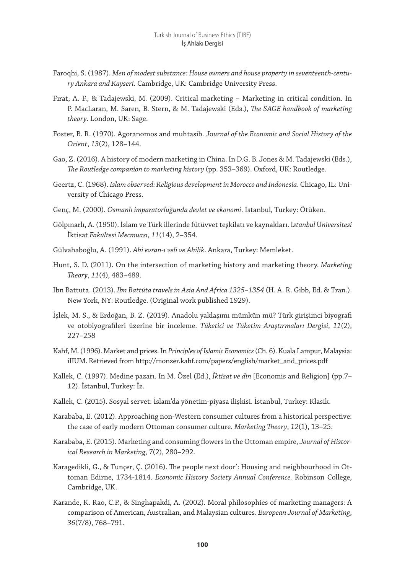- Faroqhi, S. (1987). *Men of modest substance: House owners and house property in seventeenth-century Ankara and Kayseri*. Cambridge, UK: Cambridge University Press.
- Fırat, A. F., & Tadajewski, M. (2009). Critical marketing Marketing in critical condition. In P. MacLaran, M. Saren, B. Stern, & M. Tadajewski (Eds.), *The SAGE handbook of marketing theory*. London, UK: Sage.
- Foster, B. R. (1970). Agoranomos and muhtasib. *J*o*urnal of the Economic and Social History of the Orient*, *13*(2), 128–144.
- Gao, Z. (2016). A history of modern marketing in China. In D.G. B. Jones & M. Tadajewski (Eds.), *The Routledge companion to marketing history* (pp. 353–369). Oxford, UK: Routledge.
- Geertz, C. (1968). *Islam observed: Religious development in Morocco and Indonesia*. Chicago, IL: University of Chicago Press.
- Genç, M. (2000). *Osmanlı imparatorluğunda devlet ve ekonomi*. İstanbul, Turkey: Ötüken.
- Gölpınarlı, A. (1950). İslam ve Türk illerinde fütüvvet teşkilatı ve kaynakları. İ*stanbul* Ü*niversitesi*  İktisat *Fakültesi Mecmuası*, *11*(14), 2–354.
- Gülvahaboğlu, A. (1991). *Ahi evran-ı veli ve Ahilik*. Ankara, Turkey: Memleket.
- Hunt, S. D. (2011). On the intersection of marketing history and marketing theory. *Marketing Theory*, *11*(4), 483–489.
- Ibn Battuta. (2013). *Ibn Battúta travels in Asia And Africa 1325–1354* (H. A. R. Gibb, Ed. & Tran.). New York, NY: Routledge. (Original work published 1929).
- İşlek, M. S., & Erdoğan, B. Z. (2019). Anadolu yaklaşımı mümkün mü? Türk girişimci biyografi ve otobiyografileri üzerine bir inceleme. *Tüketici ve Tüketim Araştırmaları Dergisi*, *11*(2), 227–258
- Kahf, M. (1996). Market and prices. In *Principles of Islamic Economics* (Ch. 6). Kuala Lampur, Malaysia: iIIUM. Retrieved from http://monzer.kahf.com/papers/english/market\_and\_prices.pdf
- Kallek, C. (1997). Medine pazarı. In M. Özel (Ed.), *İktisat ve din* [Economis and Religion] (pp.7– 12). İstanbul, Turkey: İz.
- Kallek, C. (2015). Sosyal servet: İslam'da yönetim-piyasa ilişkisi. İstanbul, Turkey: Klasik.
- Karababa, E. (2012). Approaching non-Western consumer cultures from a historical perspective: the case of early modern Ottoman consumer culture. *Marketing Theory*, *12*(1), 13–25.
- Karababa, E. (2015). Marketing and consuming flowers in the Ottoman empire, *Journal of Historical Research in Marketing*, *7*(2), 280–292.
- Karagedikli, G., & Tunçer, Ç. (2016). The people next door': Housing and neighbourhood in Ottoman Edirne, 1734-1814. *Economic History Society Annual Conference.* Robinson College, Cambridge, UK.
- Karande, K. Rao, C.P., & Singhapakdi, A. (2002). Moral philosophies of marketing managers: A comparison of American, Australian, and Malaysian cultures. *European Journal of Marketing*, *36*(7/8), 768–791.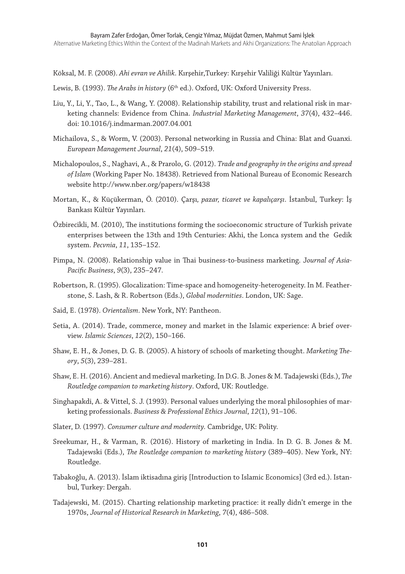Köksal, M. F. (2008). *Ahi evran ve Ahilik*. Kırşehir,Turkey: Kırşehir Valiliği Kültür Yayınları.

- Lewis, B. (1993). *The Arabs in history* (6<sup>th</sup> ed.). Oxford, UK: Oxford University Press.
- Liu, Y., Li, Y., Tao, L., & Wang, Y. (2008). Relationship stability, trust and relational risk in marketing channels: Evidence from China. *Industrial Marketing Management*, *37*(4), 432–446. doi: 10.1016/j.indmarman.2007.04.001
- Michailova, S., & Worm, V. (2003). Personal networking in Russia and China: Blat and Guanxi. *European Management Journal*, *21*(4), 509–519.
- Michalopoulos, S., Naghavi, A., & Prarolo, G. (2012). *Trade and geography in the origins and spread of Islam* (Working Paper No. 18438). Retrieved from National Bureau of Economic Research website http://www.nber.org/papers/w18438
- Mortan, K., & Küçükerman, Ö. (2010). Çarşı*, pazar, ticaret ve kapalıçarşı*. İstanbul, Turkey: İş Bankası Kültür Yayınları.
- Özbirecikli, M. (2010), The institutions forming the socioeconomic structure of Turkish private enterprises between the 13th and 19th Centuries: Akhi, the Lonca system and the Gedik system. *Pecvnia*, *11*, 135–152.
- Pimpa, N. (2008). Relationship value in Thai business-to-business marketing. J*ournal of Asia-Pacific Business*, *9*(3), 235–247.
- Robertson, R. (1995). Glocalization: Time-space and homogeneity-heterogeneity. In M. Featherstone, S. Lash, & R. Robertson (Eds.), *Global modernities*. London, UK: Sage.
- Said, E. (1978). *Orientalism*. New York, NY: Pantheon.
- Setia, A. (2014). Trade, commerce, money and market in the Islamic experience: A brief overview. *Islamic Sciences*, *12*(2), 150–166.
- Shaw, E. H., & Jones, D. G. B. (2005). A history of schools of marketing thought. *Marketing Theory*, *5*(3), 239–281.
- Shaw, E. H. (2016). Ancient and medieval marketing. In D.G. B. Jones & M. Tadajewski (Eds.), *The Routledge companion to marketing history*. Oxford, UK: Routledge.
- Singhapakdi, A. & Vittel, S. J. (1993). Personal values underlying the moral philosophies of marketing professionals. *Business & Professional Ethics Journal*, *12*(1), 91–106.
- Slater, D. (1997). *Consumer culture and modernity.* Cambridge, UK: Polity.
- Sreekumar, H., & Varman, R. (2016). History of marketing in India. In D. G. B. Jones & M. Tadajewski (Eds.), *The Routledge companion to marketing history* (389–405). New York, NY: Routledge.
- Tabakoğlu, A. (2013). İslam iktisadına giriş [Introduction to Islamic Economics] (3rd ed.). Istanbul, Turkey: Dergah.
- Tadajewski, M. (2015). Charting relationship marketing practice: it really didn't emerge in the 1970s, *Journal of Historical Research in Marketing*, *7*(4), 486–508.